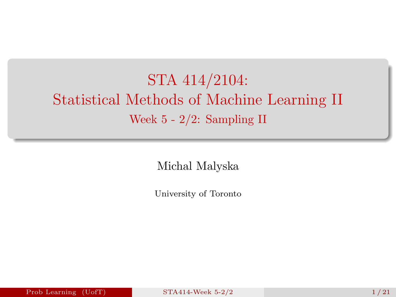# <span id="page-0-0"></span>STA 414/2104: Statistical Methods of Machine Learning II Week 5 - 2/2: Sampling II

Michal Malyska

University of Toronto

Prob Learning  $(UofT)$  [STA414-Week 5-2/2](#page-20-0) 1 / 21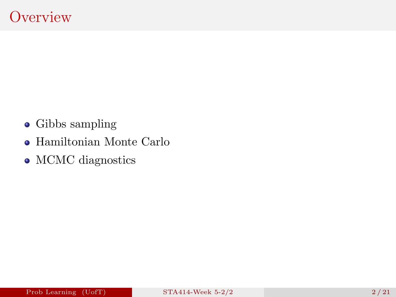- Gibbs sampling
- Hamiltonian Monte Carlo
- MCMC diagnostics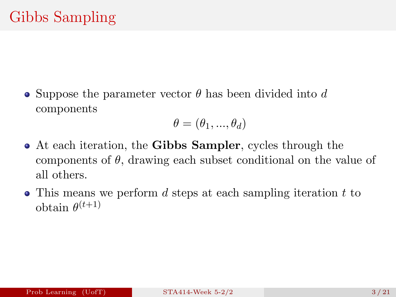• Suppose the parameter vector  $\theta$  has been divided into d components

$$
\theta = (\theta_1, ..., \theta_d)
$$

- At each iteration, the Gibbs Sampler, cycles through the components of  $\theta$ , drawing each subset conditional on the value of all others.
- $\bullet$  This means we perform d steps at each sampling iteration t to obtain  $\theta^{(t+1)}$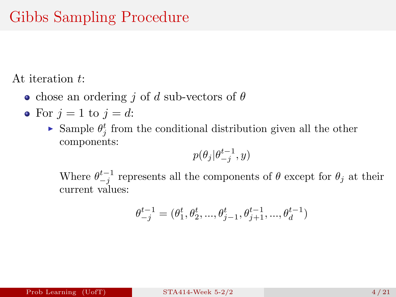# Gibbs Sampling Procedure

At iteration t:

- chose an ordering j of d sub-vectors of  $\theta$
- For  $j = 1$  to  $j = d$ :
	- Sample  $\theta_j^t$  from the conditional distribution given all the other components:

$$
p(\theta_j|\theta_{-j}^{t-1},y)
$$

Where  $\theta_{-j}^{t-1}$  represents all the components of  $\theta$  except for  $\theta_j$  at their current values:

$$
\theta_{-j}^{t-1} = (\theta_1^{t}, \theta_2^{t}, ..., \theta_{j-1}^{t}, \theta_{j+1}^{t-1}, ..., \theta_d^{t-1})
$$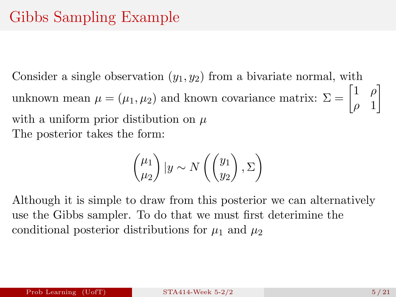Consider a single observation  $(y_1, y_2)$  from a bivariate normal, with unknown mean  $\mu = (\mu_1, \mu_2)$  and known covariance matrix:  $\Sigma = \begin{bmatrix} 1 & \rho \\ 0 & 1 \end{bmatrix}$  $\rho$  1 1 with a uniform prior distibution on  $\mu$ The posterior takes the form:

$$
\begin{pmatrix} \mu_1 \\ \mu_2 \end{pmatrix} | y \sim N \left( \begin{pmatrix} y_1 \\ y_2 \end{pmatrix}, \Sigma \right)
$$

Although it is simple to draw from this posterior we can alternatively use the Gibbs sampler. To do that we must first deterimine the conditional posterior distributions for  $\mu_1$  and  $\mu_2$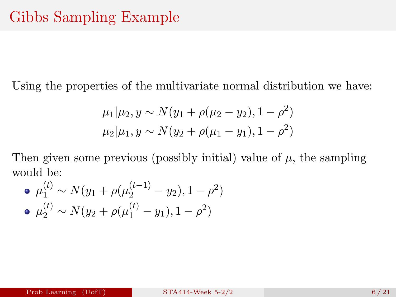Using the properties of the multivariate normal distribution we have:

$$
\mu_1|\mu_2, y \sim N(y_1 + \rho(\mu_2 - y_2), 1 - \rho^2)
$$
  

$$
\mu_2|\mu_1, y \sim N(y_2 + \rho(\mu_1 - y_1), 1 - \rho^2)
$$

Then given some previous (possibly initial) value of  $\mu$ , the sampling would be:

• 
$$
\mu_1^{(t)} \sim N(y_1 + \rho(\mu_2^{(t-1)} - y_2), 1 - \rho^2)
$$
  
\n•  $\mu_2^{(t)} \sim N(y_2 + \rho(\mu_1^{(t)} - y_1), 1 - \rho^2)$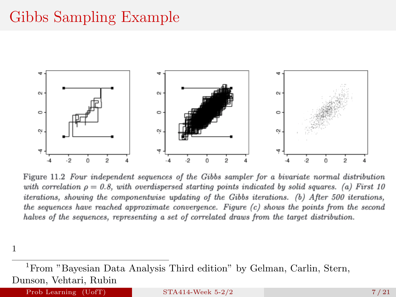## Gibbs Sampling Example



Figure 11.2 Four independent sequences of the Gibbs sampler for a bivariate normal distribution with correlation  $\rho = 0.8$ , with overdispersed starting points indicated by solid squares. (a) First 10 iterations, showing the componentwise updating of the Gibbs iterations. (b) After 500 iterations, the sequences have reached approximate convergence. Figure (c) shows the points from the second halves of the sequences, representing a set of correlated draws from the target distribution.

1

<sup>1</sup>From "Bayesian Data Analysis Third edition" by Gelman, Carlin, Stern, Dunson, Vehtari, Rubin

Prob Learning  $(UofT)$  [STA414-Week 5-2/2](#page-0-0) 7/21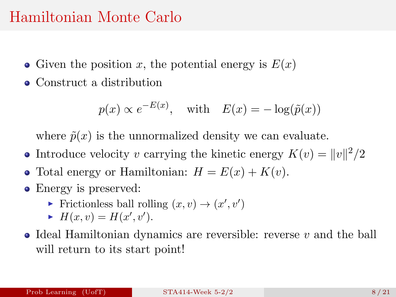### Hamiltonian Monte Carlo

- Given the position x, the potential energy is  $E(x)$
- Construct a distribution

$$
p(x) \propto e^{-E(x)}
$$
, with  $E(x) = -\log(\tilde{p}(x))$ 

where  $\tilde{p}(x)$  is the unnormalized density we can evaluate.

- Introduce velocity v carrying the kinetic energy  $K(v) = ||v||^2/2$
- Total energy or Hamiltonian:  $H = E(x) + K(v)$ .
- Energy is preserved:
	- Frictionless ball rolling  $(x, v) \rightarrow (x', v')$
	- $H(x, v) = H(x', v').$
- $\bullet$  Ideal Hamiltonian dynamics are reversible: reverse v and the ball will return to its start point!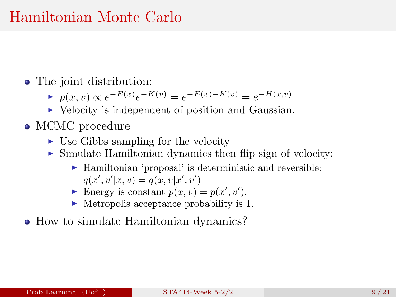### Hamiltonian Monte Carlo

- The joint distribution:
	- $\blacktriangleright$   $p(x, v) \propto e^{-E(x)} e^{-K(v)} = e^{-E(x) K(v)} = e^{-H(x,v)}$
	- $\triangleright$  Velocity is independent of position and Gaussian.
- MCMC procedure
	- $\triangleright$  Use Gibbs sampling for the velocity
	- $\triangleright$  Simulate Hamiltonian dynamics then flip sign of velocity:
		- $\blacktriangleright$  Hamiltonian 'proposal' is deterministic and reversible:  $q(x', v'|x, v) = q(x, v|x', v')$
		- Energy is constant  $p(x, v) = p(x', v')$ .
		- $\blacktriangleright$  Metropolis acceptance probability is 1.
- How to simulate Hamiltonian dynamics?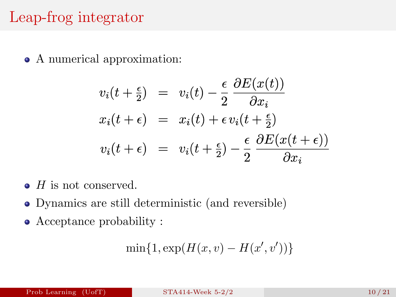# Leap-frog integrator

• A numerical approximation:

$$
v_i(t + \frac{\epsilon}{2}) = v_i(t) - \frac{\epsilon}{2} \frac{\partial E(x(t))}{\partial x_i}
$$
  

$$
x_i(t + \epsilon) = x_i(t) + \epsilon v_i(t + \frac{\epsilon}{2})
$$
  

$$
v_i(t + \epsilon) = v_i(t + \frac{\epsilon}{2}) - \frac{\epsilon}{2} \frac{\partial E(x(t + \epsilon))}{\partial x_i}
$$

- $\bullet$  H is not conserved.
- Dynamics are still deterministic (and reversible)
- Acceptance probability :

$$
\min\{1,\exp(H(x,v)-H(x',v'))\}
$$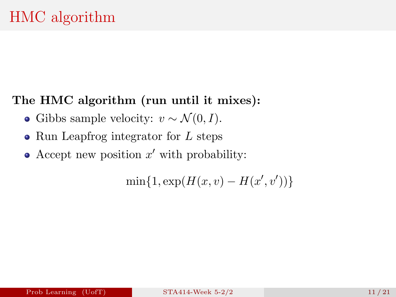#### The HMC algorithm (run until it mixes):

- Gibbs sample velocity:  $v \sim \mathcal{N}(0, I)$ .
- $\bullet$  Run Leapfrog integrator for L steps
- Accept new position  $x'$  with probability:

 $\min\{1, \exp(H(x, v) - H(x', v'))\}$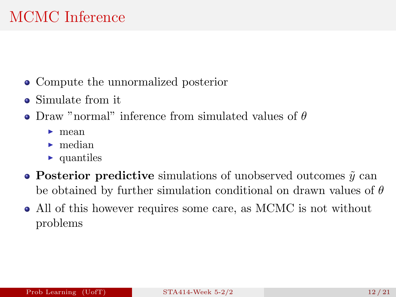# MCMC Inference

- Compute the unnormalized posterior
- Simulate from it
- Draw "normal" inference from simulated values of  $\theta$ 
	- $\blacktriangleright$  mean
	- $\blacktriangleright$  median
	- $\blacktriangleright$  quantiles
- Posterior predictive simulations of unobserved outcomes  $\tilde{y}$  can be obtained by further simulation conditional on drawn values of  $\theta$
- All of this however requires some care, as MCMC is not without problems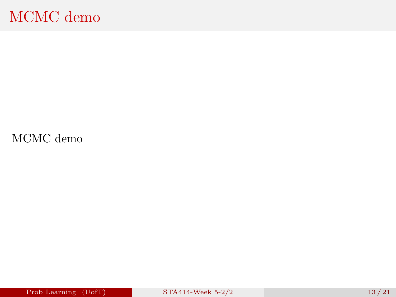## MCMC demo

[MCMC demo](https://chi-feng.github.io/mcmc-demo/app.html?algorithm=RandomWalkMH&target=multimodal&autoplay=False)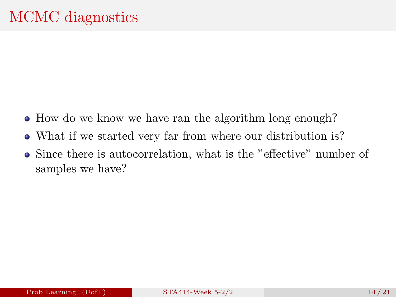- How do we know we have ran the algorithm long enough?
- What if we started very far from where our distribution is?
- Since there is autocorrelation, what is the "effective" number of samples we have?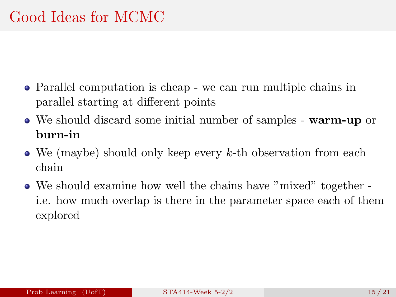- Parallel computation is cheap we can run multiple chains in parallel starting at different points
- We should discard some initial number of samples warm-up or burn-in
- $\bullet$  We (maybe) should only keep every k-th observation from each chain
- We should examine how well the chains have "mixed" together i.e. how much overlap is there in the parameter space each of them explored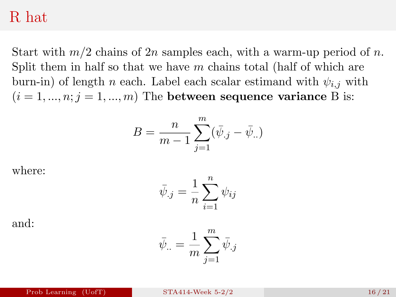#### R hat

Start with  $m/2$  chains of  $2n$  samples each, with a warm-up period of n. Split them in half so that we have  $m$  chains total (half of which are burn-in) of length *n* each. Label each scalar estimand with  $\psi_{i,j}$  with  $(i = 1, ..., n; j = 1, ..., m)$  The between sequence variance B is:

$$
B = \frac{n}{m-1} \sum_{j=1}^{m} (\bar{\psi}_{.j} - \bar{\psi}_{..})
$$

where:

$$
\bar{\psi}_{.j} = \frac{1}{n} \sum_{i=1}^{n} \psi_{ij}
$$

and:

$$
\bar{\psi}_{\cdot \cdot} = \frac{1}{m} \sum_{j=1}^m \bar{\psi}_{\cdot j}
$$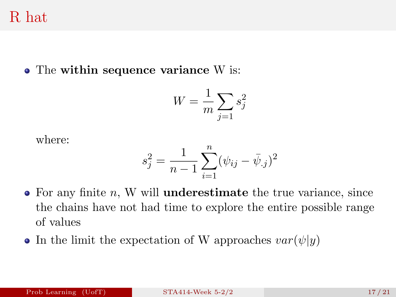R hat

• The within sequence variance W is:

$$
W = \frac{1}{m} \sum_{j=1} s_j^2
$$

where:

$$
s_j^2 = \frac{1}{n-1} \sum_{i=1}^n (\psi_{ij} - \bar{\psi}_{.j})^2
$$

- $\bullet$  For any finite n, W will **underestimate** the true variance, since the chains have not had time to explore the entire possible range of values
- In the limit the expectation of W approaches  $var(\psi|y)$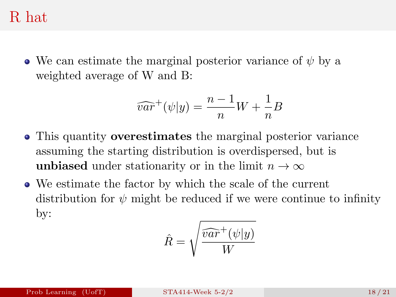### R hat

• We can estimate the marginal posterior variance of  $\psi$  by a weighted average of W and B:

$$
\widehat{var}^+(\psi|y) = \frac{n-1}{n}W + \frac{1}{n}B
$$

- This quantity overestimates the marginal posterior variance assuming the starting distribution is overdispersed, but is unbiased under stationarity or in the limit  $n \to \infty$
- We estimate the factor by which the scale of the current distribution for  $\psi$  might be reduced if we were continue to infinity by:

$$
\hat{R} = \sqrt{\frac{\widehat{var}^+(\psi|y)}{W}}
$$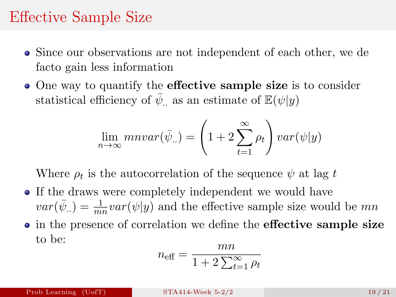## Effective Sample Size

- Since our observations are not independent of each other, we de facto gain less information
- One way to quantify the **effective sample size** is to consider statistical efficiency of  $\bar{\psi}$ , as an estimate of  $\mathbb{E}(\psi|y)$

$$
\lim_{n \to \infty} mnvar(\bar{\psi}_{..}) = \left(1 + 2 \sum_{t=1}^{\infty} \rho_t\right) var(\psi|y)
$$

Where  $\rho_t$  is the autocorrelation of the sequence  $\psi$  at lag t

• If the draws were completely independent we would have  $var(\bar{\psi}_{..}) = \frac{1}{mn}var(\psi|y)$  and the effective sample size would be  $mn$ • in the presence of correlation we define the effective sample size to be:

$$
n_{\text{eff}} = \frac{mn}{1 + 2\sum_{t=1}^{\infty} \rho_t}
$$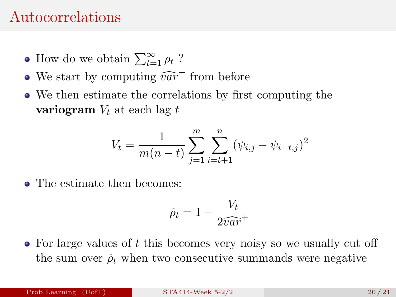### Autocorrelations

- How do we obtain  $\sum_{t=1}^{\infty} \rho_t$ ?
- We start by computing  $\widehat{var}^+$  from before
- We then estimate the correlations by first computing the variogram  $V_t$  at each lag t

$$
V_t = \frac{1}{m(n-t)} \sum_{j=1}^{m} \sum_{i=t+1}^{n} (\psi_{i,j} - \psi_{i-t,j})^2
$$

• The estimate then becomes:

$$
\hat{\rho}_t = 1 - \frac{V_t}{2\widehat{var}^+}
$$

 $\bullet$  For large values of t this becomes very noisy so we usually cut off the sum over  $\hat{\rho}_t$  when two consecutive summands were negative